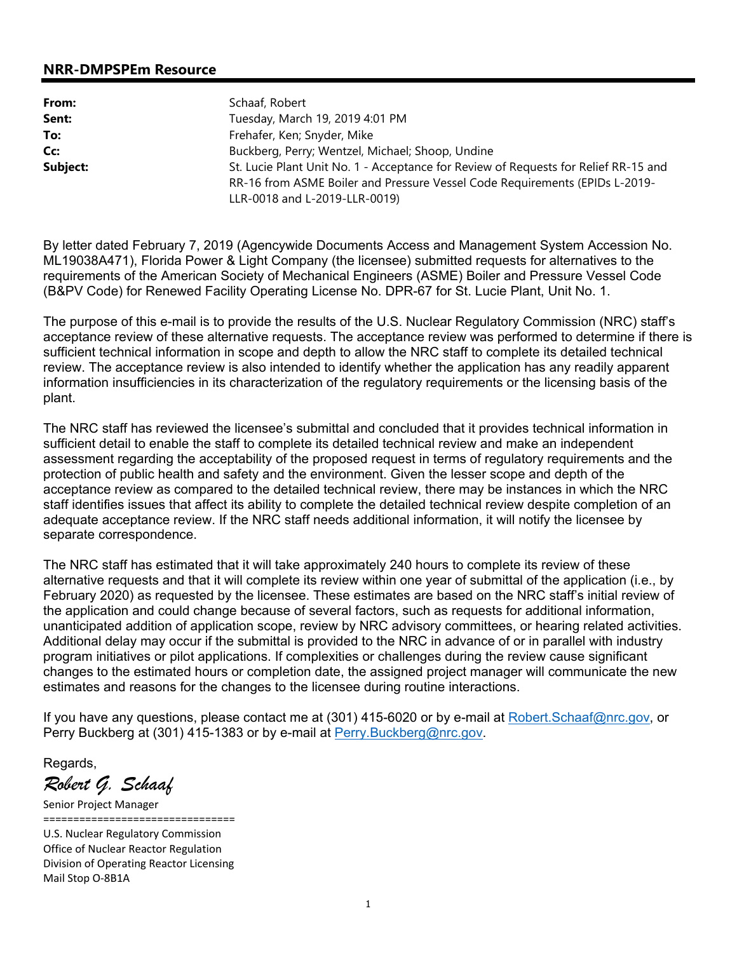## **NRR-DMPSPEm Resource**

| From:    | Schaaf, Robert                                                                      |  |  |
|----------|-------------------------------------------------------------------------------------|--|--|
| Sent:    | Tuesday, March 19, 2019 4:01 PM                                                     |  |  |
| To:      | Frehafer, Ken; Snyder, Mike                                                         |  |  |
| Cc:      | Buckberg, Perry; Wentzel, Michael; Shoop, Undine                                    |  |  |
| Subject: | St. Lucie Plant Unit No. 1 - Acceptance for Review of Requests for Relief RR-15 and |  |  |
|          | RR-16 from ASME Boiler and Pressure Vessel Code Requirements (EPIDs L-2019-         |  |  |
|          | LLR-0018 and L-2019-LLR-0019)                                                       |  |  |

By letter dated February 7, 2019 (Agencywide Documents Access and Management System Accession No. ML19038A471), Florida Power & Light Company (the licensee) submitted requests for alternatives to the requirements of the American Society of Mechanical Engineers (ASME) Boiler and Pressure Vessel Code (B&PV Code) for Renewed Facility Operating License No. DPR-67 for St. Lucie Plant, Unit No. 1.

The purpose of this e-mail is to provide the results of the U.S. Nuclear Regulatory Commission (NRC) staff's acceptance review of these alternative requests. The acceptance review was performed to determine if there is sufficient technical information in scope and depth to allow the NRC staff to complete its detailed technical review. The acceptance review is also intended to identify whether the application has any readily apparent information insufficiencies in its characterization of the regulatory requirements or the licensing basis of the plant.

The NRC staff has reviewed the licensee's submittal and concluded that it provides technical information in sufficient detail to enable the staff to complete its detailed technical review and make an independent assessment regarding the acceptability of the proposed request in terms of regulatory requirements and the protection of public health and safety and the environment. Given the lesser scope and depth of the acceptance review as compared to the detailed technical review, there may be instances in which the NRC staff identifies issues that affect its ability to complete the detailed technical review despite completion of an adequate acceptance review. If the NRC staff needs additional information, it will notify the licensee by separate correspondence.

The NRC staff has estimated that it will take approximately 240 hours to complete its review of these alternative requests and that it will complete its review within one year of submittal of the application (i.e., by February 2020) as requested by the licensee. These estimates are based on the NRC staff's initial review of the application and could change because of several factors, such as requests for additional information, unanticipated addition of application scope, review by NRC advisory committees, or hearing related activities. Additional delay may occur if the submittal is provided to the NRC in advance of or in parallel with industry program initiatives or pilot applications. If complexities or challenges during the review cause significant changes to the estimated hours or completion date, the assigned project manager will communicate the new estimates and reasons for the changes to the licensee during routine interactions.

If you have any questions, please contact me at (301) 415-6020 or by e-mail at Robert.Schaaf@nrc.gov, or Perry Buckberg at (301) 415-1383 or by e-mail at Perry. Buckberg@nrc.gov.

Regards,

*Robert G. Schaaf* 

Senior Project Manager ================================

U.S. Nuclear Regulatory Commission Office of Nuclear Reactor Regulation Division of Operating Reactor Licensing Mail Stop O-8B1A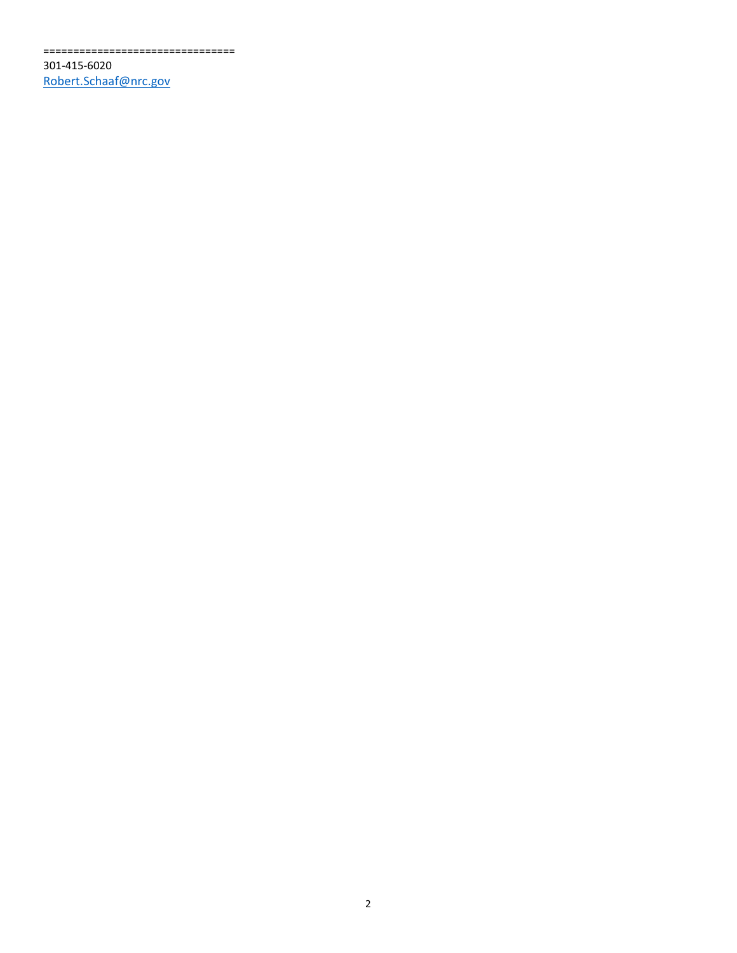================================

301-415-6020 Robert.Schaaf@nrc.gov